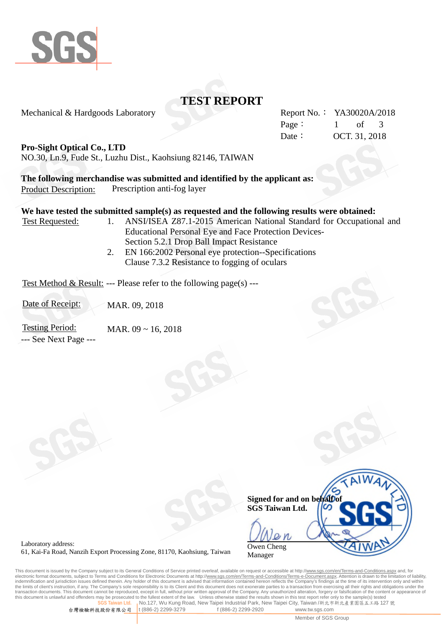

# **TEST REPORT**

Mechanical & Hardgoods Laboratory Report No.: YA30020A/2018

Page: 1 of 3 Date: **OCT. 31, 2018** 

### **Pro-Sight Optical Co., LTD**

NO.30, Ln.9, Fude St., Luzhu Dist., Kaohsiung 82146, TAIWAN

**The following merchandise was submitted and identified by the applicant as:** Product Description: Prescription anti-fog layer

### **We have tested the submitted sample(s) as requested and the following results were obtained:**

- Test Requested: 1. ANSI/ISEA Z87.1-2015 American National Standard for Occupational and Educational Personal Eye and Face Protection Devices-Section 5.2.1 Drop Ball Impact Resistance
	- 2. EN 166:2002 Personal eye protection--Specifications Clause 7.3.2 Resistance to fogging of oculars

Test Method & Result: --- Please refer to the following page(s) ---

Date of Receipt: MAR. 09, 2018

Testing Period: MAR. 09 ~ 16, 2018 --- See Next Page ---

|                                                       | $\overline{M_A}$ |
|-------------------------------------------------------|------------------|
| Signed for and on behalf of<br><b>SGS Taiwan Ltd.</b> |                  |
|                                                       |                  |
| Owen Cheng<br>Manager                                 |                  |

Laboratory address: 61, Kai-Fa Road, Nanzih Export Processing Zone, 81170, Kaohsiung, Taiwan

This document is issued by the Company subject to its General Conditions of Service printed overleaf, available on request or accessible at http://<u>www.sgs.com/en/Terms-and-Conditions.aspx</u> and, for<br>electronic format docum indemnification and jurisdiction issues defined therein. Any holder of this document is advised that information contained hereon reflects the Company's findings at the time of its intervention only and within the limits of client's instruction, if any. The Company's sole responsibility is to its Client and this document does not exonerate parties to a transaction from exercising all their rights and obligations under the transaction documents. This document cannot be reproduced, except in full, without prior written approval of the Company. Any unauthorized alteration, forgery or falsification of the content or appearance of this document Unless otherwise stated the results shown in this test report refer only to the sample(s) tested **No.127, Wu Kung Road, New Taipei Industrial Park, New Taipei City, Taiwan /新北市新北產業園區五工路 127 號** 

台灣檢驗科技股份有限公司 t (886-2) 2299-3279 f (886-2) 2299-2920 www.tw.sgs.com

Member of SGS Group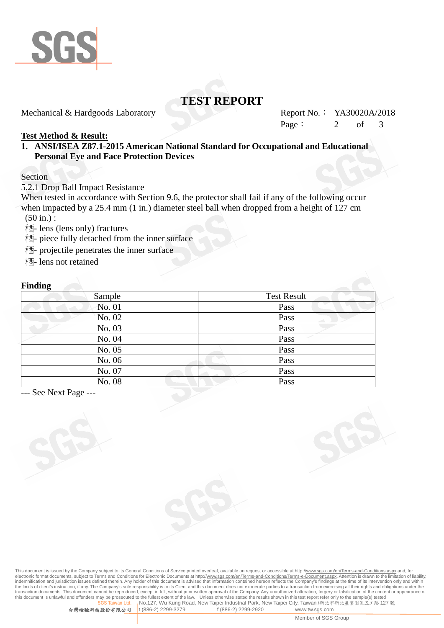

# **TEST REPORT**

Mechanical & Hardgoods Laboratory Report No.: YA30020A/2018

Page:  $2 \text{ of } 3$ 

### **Test Method & Result:**

**1. ANSI/ISEA Z87.1-2015 American National Standard for Occupational and Educational Personal Eye and Face Protection Devices**

#### Section

5.2.1 Drop Ball Impact Resistance

When tested in accordance with Section 9.6, the protector shall fail if any of the following occur when impacted by a 25.4 mm (1 in.) diameter steel ball when dropped from a height of 127 cm (50 in.) :

- lens (lens only) fractures

- 栖 piece fully detached from the inner surface
- projectile penetrates the inner surface
- 栖- lens not retained

#### **Finding**

| $\bullet$ |                    |  |
|-----------|--------------------|--|
| Sample    | <b>Test Result</b> |  |
| No. 01    | Pass               |  |
| No. 02    | Pass               |  |
| No. 03    | Pass               |  |
| No. 04    | Pass               |  |
| No. 05    | Pass               |  |
| No. 06    | Pass               |  |
| No. 07    | Pass               |  |
| No. 08    | Pass               |  |

--- See Next Page ---

This document is issued by the Company subject to its General Conditions of Service printed overleaf, available on request or accessible at http://<u>www.sgs.com/en/Terms-and-Conditions.aspx</u> and, for<br>electronic format docum indemnification and jurisdiction issues defined therein. Any holder of this document is advised that information contained hereon reflects the Company's findings at the time of its intervention only and within the limits of client's instruction, if any. The Company's sole responsibility is to its Client and this document does not exonerate parties to a transaction from exercising all their rights and obligations under the transaction documents. This document cannot be reproduced, except in full, without prior written approval of the Company. Any unauthorized alteration, forgery or falsification of the content or appearance of this document Unless otherwise stated the results shown in this test report refer only to the sample(s) tested **No.127, Wu Kung Road, New Taipei Industrial Park, New Taipei City, Taiwan /新北市新北產業園區五工路 127 號**